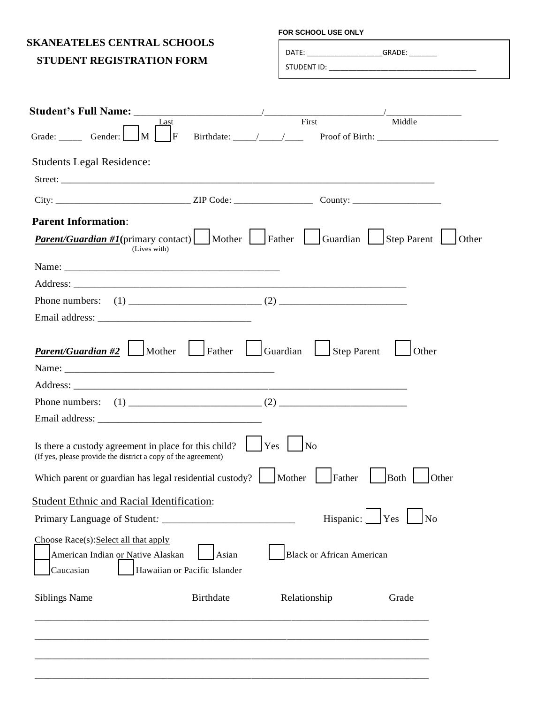## **SKANEATELES CENTRAL SCHOOLS**

## **STUDENT REGISTRATION FORM**

## **FOR SCHOOL USE ONLY**

DATE: \_\_\_\_\_\_\_\_\_\_\_\_\_\_\_\_\_\_\_GRADE: \_\_\_\_\_\_\_

STUDENT ID:

**Student's Full Name:** Last First First Thinking and Taylor Reserves the Student's Full Name: LastFirstMiddle Grade: \_\_\_\_\_ Gender: \_\_\_ M \_\_\_ F Birthdate: \_\_\_\_\_/\_\_\_\_\_/\_\_\_\_ Proof of Birth: \_\_\_\_\_\_\_\_\_\_\_\_\_\_\_\_\_\_\_\_\_\_\_\_\_\_ Students Legal Residence: Street: \_\_\_\_\_\_\_\_\_\_\_\_\_\_\_\_\_\_\_\_\_\_\_\_\_\_\_\_\_\_\_\_\_\_\_\_\_\_\_\_\_\_\_\_\_\_\_\_\_\_\_\_\_\_\_\_\_\_\_\_\_\_\_\_\_\_\_\_\_\_\_\_\_\_\_\_\_\_\_\_  $City:$   $ZIP Code:$   $ZIP Code:$   $County:$ **Parent Information**: *Parent/Guardian* #1(primary contact) Mother **Father Guardian Step Parent Other** (Lives with) Name: Address: \_\_\_\_\_\_\_\_\_\_\_\_\_\_\_\_\_\_\_\_\_\_\_\_\_\_\_\_\_\_\_\_\_\_\_\_\_\_\_\_\_\_\_\_\_\_\_\_\_\_\_\_\_\_\_\_\_\_\_\_\_\_\_\_\_ Phone numbers: (1) \_\_\_\_\_\_\_\_\_\_\_\_\_\_\_\_\_\_\_\_\_\_\_\_\_\_ (2) \_\_\_\_\_\_\_\_\_\_\_\_\_\_\_\_\_\_\_\_\_\_\_\_\_ Email address: *Parent/Guardian* #2 | Mother | Father | Guardian | Step Parent | Other Name: \_\_\_\_\_\_\_\_\_\_\_\_\_\_\_\_\_\_\_\_\_\_\_\_\_\_\_\_\_\_\_\_\_\_\_\_\_\_\_\_\_ Address: \_\_\_\_\_\_\_\_\_\_\_\_\_\_\_\_\_\_\_\_\_\_\_\_\_\_\_\_\_\_\_\_\_\_\_\_\_\_\_\_\_\_\_\_\_\_\_\_\_\_\_\_\_\_\_\_\_\_\_\_\_\_\_\_\_ Phone numbers: (1) \_\_\_\_\_\_\_\_\_\_\_\_\_\_\_\_\_\_\_\_\_\_\_\_\_\_ (2) \_\_\_\_\_\_\_\_\_\_\_\_\_\_\_\_\_\_\_\_\_\_\_\_\_ Email address: \_\_\_\_\_\_\_\_\_\_\_\_\_\_\_\_\_\_\_\_\_\_\_\_\_\_\_\_\_\_\_\_ Is there a custody agreement in place for this child?  $\|\mathbf{Yes}\|$  No (If yes, please provide the district a copy of the agreement) Which parent or guardian has legal residential custody?  $\parallel$  Mother  $\parallel$  Father  $\parallel$  Both  $\parallel$  Other Student Ethnic and Racial Identification: Primary Language of Student: The Student of Student and *Hispanic*:  $\begin{array}{c|c} \n\end{array}$  Yes  $\begin{array}{c|c} \n\end{array}$  No Choose Race(s):Select all that apply American Indian or Native Alaskan | Asian | Black or African American Caucasian | Hawaiian or Pacific Islander Siblings Name Birthdate RelationshipGrade \_\_\_\_\_\_\_\_\_\_\_\_\_\_\_\_\_\_\_\_\_\_\_\_\_\_\_\_\_\_\_\_\_\_\_\_\_\_\_\_\_\_\_\_\_\_\_\_\_\_\_\_\_\_\_\_\_\_\_\_\_\_\_\_\_\_\_\_\_\_\_\_\_\_\_\_\_\_\_\_\_\_\_\_\_\_\_\_\_ \_\_\_\_\_\_\_\_\_\_\_\_\_\_\_\_\_\_\_\_\_\_\_\_\_\_\_\_\_\_\_\_\_\_\_\_\_\_\_\_\_\_\_\_\_\_\_\_\_\_\_\_\_\_\_\_\_\_\_\_\_\_\_\_\_\_\_\_\_\_\_\_\_\_\_\_\_\_\_\_\_\_\_\_\_\_\_\_\_

\_\_\_\_\_\_\_\_\_\_\_\_\_\_\_\_\_\_\_\_\_\_\_\_\_\_\_\_\_\_\_\_\_\_\_\_\_\_\_\_\_\_\_\_\_\_\_\_\_\_\_\_\_\_\_\_\_\_\_\_\_\_\_\_\_\_\_\_\_\_\_\_\_\_\_\_\_\_\_\_\_\_\_\_\_\_\_\_\_

\_\_\_\_\_\_\_\_\_\_\_\_\_\_\_\_\_\_\_\_\_\_\_\_\_\_\_\_\_\_\_\_\_\_\_\_\_\_\_\_\_\_\_\_\_\_\_\_\_\_\_\_\_\_\_\_\_\_\_\_\_\_\_\_\_\_\_\_\_\_\_\_\_\_\_\_\_\_\_\_\_\_\_\_\_\_\_\_\_